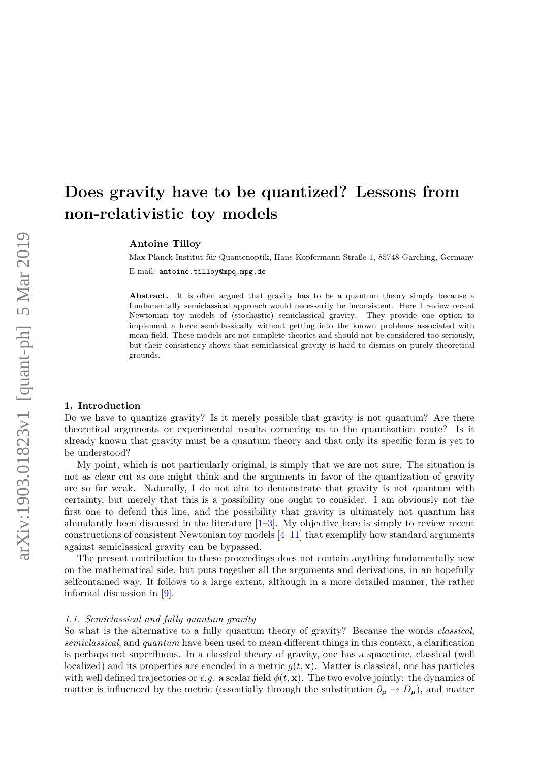# **Does gravity have to be quantized? Lessons from non-relativistic toy models**

**Antoine Tilloy**

Max-Planck-Institut für Quantenoptik, Hans-Kopfermann-Straße 1, 85748 Garching, Germany E-mail: antoine.tilloy@mpq.mpg.de

Abstract. It is often argued that gravity has to be a quantum theory simply because a fundamentally semiclassical approach would necessarily be inconsistent. Here I review recent Newtonian toy models of (stochastic) semiclassical gravity. They provide one option to implement a force semiclassically without getting into the known problems associated with mean-field. These models are not complete theories and should not be considered too seriously, but their consistency shows that semiclassical gravity is hard to dismiss on purely theoretical grounds.

## **1. Introduction**

Do we have to quantize gravity? Is it merely possible that gravity is not quantum? Are there theoretical arguments or experimental results cornering us to the quantization route? Is it already known that gravity must be a quantum theory and that only its specific form is yet to be understood?

My point, which is not particularly original, is simply that we are not sure. The situation is not as clear cut as one might think and the arguments in favor of the quantization of gravity are so far weak. Naturally, I do not aim to demonstrate that gravity is not quantum with certainty, but merely that this is a possibility one ought to consider. I am obviously not the first one to defend this line, and the possibility that gravity is ultimately not quantum has abundantly been discussed in the literature  $[1-3]$  $[1-3]$ . My objective here is simply to review recent constructions of consistent Newtonian toy models [\[4–](#page-15-1)[11\]](#page-15-2) that exemplify how standard arguments against semiclassical gravity can be bypassed.

The present contribution to these proceedings does not contain anything fundamentally new on the mathematical side, but puts together all the arguments and derivations, in an hopefully selfcontained way. It follows to a large extent, although in a more detailed manner, the rather informal discussion in [\[9\]](#page-15-3).

## *1.1. Semiclassical and fully quantum gravity*

So what is the alternative to a fully quantum theory of gravity? Because the words *classical*, *semiclassical*, and *quantum* have been used to mean different things in this context, a clarification is perhaps not superfluous. In a classical theory of gravity, one has a spacetime, classical (well localized) and its properties are encoded in a metric  $g(t, \mathbf{x})$ . Matter is classical, one has particles with well defined trajectories or *e.g.* a scalar field  $\phi(t, \mathbf{x})$ . The two evolve jointly: the dynamics of matter is influenced by the metric (essentially through the substitution  $\partial_{\mu} \to D_{\mu}$ ), and matter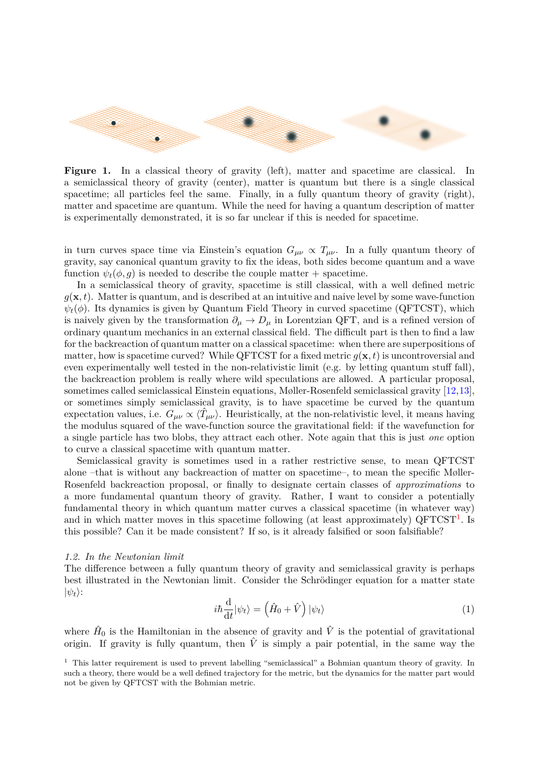

**Figure 1.** In a classical theory of gravity (left), matter and spacetime are classical. In a semiclassical theory of gravity (center), matter is quantum but there is a single classical spacetime; all particles feel the same. Finally, in a fully quantum theory of gravity (right), matter and spacetime are quantum. While the need for having a quantum description of matter is experimentally demonstrated, it is so far unclear if this is needed for spacetime.

in turn curves space time via Einstein's equation  $G_{\mu\nu} \propto T_{\mu\nu}$ . In a fully quantum theory of gravity, say canonical quantum gravity to fix the ideas, both sides become quantum and a wave function  $\psi_t(\phi, q)$  is needed to describe the couple matter + spacetime.

In a semiclassical theory of gravity, spacetime is still classical, with a well defined metric  $q(\mathbf{x}, t)$ . Matter is quantum, and is described at an intuitive and naive level by some wave-function  $\psi_t(\phi)$ . Its dynamics is given by Quantum Field Theory in curved spacetime (QFTCST), which is naively given by the transformation  $\partial_\mu \to D_\mu$  in Lorentzian QFT, and is a refined version of ordinary quantum mechanics in an external classical field. The difficult part is then to find a law for the backreaction of quantum matter on a classical spacetime: when there are superpositions of matter, how is spacetime curved? While QFTCST for a fixed metric  $g(\mathbf{x}, t)$  is uncontroversial and even experimentally well tested in the non-relativistic limit (e.g. by letting quantum stuff fall), the backreaction problem is really where wild speculations are allowed. A particular proposal, sometimes called semiclassical Einstein equations, Møller-Rosenfeld semiclassical gravity [\[12,](#page-15-4)[13\]](#page-15-5), or sometimes simply semiclassical gravity, is to have spacetime be curved by the quantum expectation values, i.e.  $G_{\mu\nu} \propto \langle \hat{T}_{\mu\nu} \rangle$ . Heuristically, at the non-relativistic level, it means having the modulus squared of the wave-function source the gravitational field: if the wavefunction for a single particle has two blobs, they attract each other. Note again that this is just *one* option to curve a classical spacetime with quantum matter.

Semiclassical gravity is sometimes used in a rather restrictive sense, to mean QFTCST alone –that is without any backreaction of matter on spacetime–, to mean the specific Møller-Rosenfeld backreaction proposal, or finally to designate certain classes of *approximations* to a more fundamental quantum theory of gravity. Rather, I want to consider a potentially fundamental theory in which quantum matter curves a classical spacetime (in whatever way) and in which matter moves in this spacetime following (at least approximately)  $QFTCST<sup>1</sup>$  $QFTCST<sup>1</sup>$  $QFTCST<sup>1</sup>$ . Is this possible? Can it be made consistent? If so, is it already falsified or soon falsifiable?

## *1.2. In the Newtonian limit*

The difference between a fully quantum theory of gravity and semiclassical gravity is perhaps best illustrated in the Newtonian limit. Consider the Schrödinger equation for a matter state  $|\psi_t\rangle$ :

$$
i\hbar \frac{\mathrm{d}}{\mathrm{d}t}|\psi_t\rangle = \left(\hat{H}_0 + \hat{V}\right)|\psi_t\rangle\tag{1}
$$

where  $\hat{H}_0$  is the Hamiltonian in the absence of gravity and  $\hat{V}$  is the potential of gravitational origin. If gravity is fully quantum, then  $\hat{V}$  is simply a pair potential, in the same way the

<span id="page-1-0"></span><sup>&</sup>lt;sup>1</sup> This latter requirement is used to prevent labelling "semiclassical" a Bohmian quantum theory of gravity. In such a theory, there would be a well defined trajectory for the metric, but the dynamics for the matter part would not be given by QFTCST with the Bohmian metric.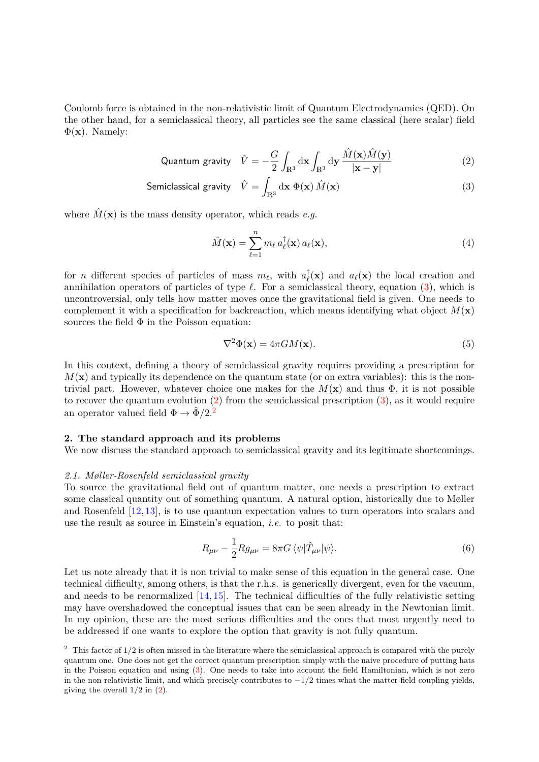Coulomb force is obtained in the non-relativistic limit of Quantum Electrodynamics (QED). On the other hand, for a semiclassical theory, all particles see the same classical (here scalar) field  $\Phi(\mathbf{x})$ . Namely:

$$
\text{Quantum gravity} \quad \hat{V} = -\frac{G}{2} \int_{\mathbb{R}^3} \mathrm{d} \mathbf{x} \int_{\mathbb{R}^3} \mathrm{d} \mathbf{y} \, \frac{\hat{M}(\mathbf{x}) \hat{M}(\mathbf{y})}{|\mathbf{x} - \mathbf{y}|} \tag{2}
$$

Semiclassical gravity 
$$
\hat{V} = \int_{\mathbb{R}^3} d\mathbf{x} \ \Phi(\mathbf{x}) \hat{M}(\mathbf{x})
$$
 (3)

where  $\hat{M}(\mathbf{x})$  is the mass density operator, which reads *e.g.* 

<span id="page-2-1"></span><span id="page-2-0"></span>
$$
\hat{M}(\mathbf{x}) = \sum_{\ell=1}^{n} m_{\ell} a_{\ell}^{\dagger}(\mathbf{x}) a_{\ell}(\mathbf{x}), \qquad (4)
$$

for *n* different species of particles of mass  $m_\ell$ , with  $a_\ell^{\dagger}$  $a_{\ell}(\mathbf{x})$  and  $a_{\ell}(\mathbf{x})$  the local creation and annihilation operators of particles of type  $\ell$ . For a semiclassical theory, equation [\(3\)](#page-2-0), which is uncontroversial, only tells how matter moves once the gravitational field is given. One needs to complement it with a specification for backreaction, which means identifying what object  $M(\mathbf{x})$ sources the field  $\Phi$  in the Poisson equation:

$$
\nabla^2 \Phi(\mathbf{x}) = 4\pi G M(\mathbf{x}).\tag{5}
$$

In this context, defining a theory of semiclassical gravity requires providing a prescription for  $M(\mathbf{x})$  and typically its dependence on the quantum state (or on extra variables): this is the nontrivial part. However, whatever choice one makes for the  $M(\mathbf{x})$  and thus  $\Phi$ , it is not possible to recover the quantum evolution  $(2)$  from the semiclassical prescription  $(3)$ , as it would require an operator valued field  $\Phi \rightarrow \hat{\Phi}/2$  $\Phi \rightarrow \hat{\Phi}/2$ .<sup>2</sup>

#### **2. The standard approach and its problems**

We now discuss the standard approach to semiclassical gravity and its legitimate shortcomings.

## *2.1. Møller-Rosenfeld semiclassical gravity*

To source the gravitational field out of quantum matter, one needs a prescription to extract some classical quantity out of something quantum. A natural option, historically due to Møller and Rosenfeld [\[12,](#page-15-4) [13\]](#page-15-5), is to use quantum expectation values to turn operators into scalars and use the result as source in Einstein's equation, *i.e.* to posit that:

<span id="page-2-3"></span>
$$
R_{\mu\nu} - \frac{1}{2} R g_{\mu\nu} = 8\pi G \langle \psi | \hat{T}_{\mu\nu} | \psi \rangle.
$$
 (6)

Let us note already that it is non trivial to make sense of this equation in the general case. One technical difficulty, among others, is that the r.h.s. is generically divergent, even for the vacuum, and needs to be renormalized  $[14, 15]$  $[14, 15]$ . The technical difficulties of the fully relativistic setting may have overshadowed the conceptual issues that can be seen already in the Newtonian limit. In my opinion, these are the most serious difficulties and the ones that most urgently need to be addressed if one wants to explore the option that gravity is not fully quantum.

<span id="page-2-2"></span><sup>&</sup>lt;sup>2</sup> This factor of 1/2 is often missed in the literature where the semiclassical approach is compared with the purely quantum one. One does not get the correct quantum prescription simply with the naive procedure of putting hats in the Poisson equation and using [\(3\)](#page-2-0). One needs to take into account the field Hamiltonian, which is not zero in the non-relativistic limit, and which precisely contributes to  $-1/2$  times what the matter-field coupling yields, giving the overall 1*/*2 in [\(2\)](#page-2-1).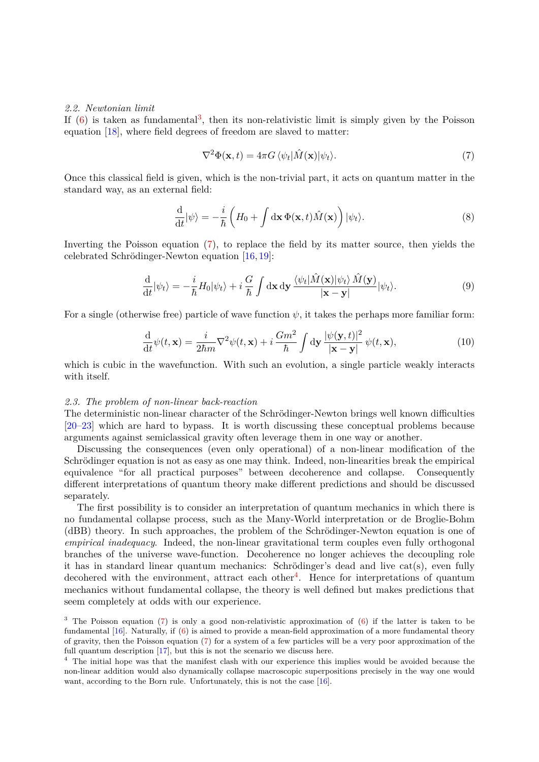## *2.2. Newtonian limit*

If  $(6)$  is taken as fundamental<sup>[3](#page-3-0)</sup>, then its non-relativistic limit is simply given by the Poisson equation [\[18\]](#page-15-8), where field degrees of freedom are slaved to matter:

<span id="page-3-1"></span>
$$
\nabla^2 \Phi(\mathbf{x}, t) = 4\pi G \langle \psi_t | \hat{M}(\mathbf{x}) | \psi_t \rangle. \tag{7}
$$

Once this classical field is given, which is the non-trivial part, it acts on quantum matter in the standard way, as an external field:

$$
\frac{\mathrm{d}}{\mathrm{d}t}|\psi\rangle = -\frac{i}{\hbar} \left( H_0 + \int \mathrm{d}\mathbf{x} \, \Phi(\mathbf{x}, t) \hat{M}(\mathbf{x}) \right) |\psi_t\rangle. \tag{8}
$$

Inverting the Poisson equation [\(7\)](#page-3-1), to replace the field by its matter source, then yields the celebrated Schrödinger-Newton equation  $[16, 19]$  $[16, 19]$ :

$$
\frac{\mathrm{d}}{\mathrm{d}t}|\psi_t\rangle = -\frac{i}{\hbar}H_0|\psi_t\rangle + i\frac{G}{\hbar}\int \mathrm{d}\mathbf{x}\,\mathrm{d}\mathbf{y}\,\frac{\langle\psi_t|\hat{M}(\mathbf{x})|\psi_t\rangle\,\hat{M}(\mathbf{y})}{|\mathbf{x}-\mathbf{y}|}|\psi_t\rangle.
$$
\n(9)

For a single (otherwise free) particle of wave function  $\psi$ , it takes the perhaps more familiar form:

$$
\frac{\mathrm{d}}{\mathrm{d}t}\psi(t,\mathbf{x}) = \frac{i}{2\hbar m}\nabla^2\psi(t,\mathbf{x}) + i\frac{Gm^2}{\hbar} \int \mathrm{d}\mathbf{y} \frac{|\psi(\mathbf{y},t)|^2}{|\mathbf{x}-\mathbf{y}|}\psi(t,\mathbf{x}),\tag{10}
$$

which is cubic in the wavefunction. With such an evolution, a single particle weakly interacts with itself.

## *2.3. The problem of non-linear back-reaction*

The deterministic non-linear character of the Schrödinger-Newton brings well known difficulties [\[20](#page-15-11)[–23\]](#page-15-12) which are hard to bypass. It is worth discussing these conceptual problems because arguments against semiclassical gravity often leverage them in one way or another.

Discussing the consequences (even only operational) of a non-linear modification of the Schrödinger equation is not as easy as one may think. Indeed, non-linearities break the empirical equivalence "for all practical purposes" between decoherence and collapse. Consequently different interpretations of quantum theory make different predictions and should be discussed separately.

The first possibility is to consider an interpretation of quantum mechanics in which there is no fundamental collapse process, such as the Many-World interpretation or de Broglie-Bohm (dBB) theory. In such approaches, the problem of the Schrödinger-Newton equation is one of *empirical inadequacy*. Indeed, the non-linear gravitational term couples even fully orthogonal branches of the universe wave-function. Decoherence no longer achieves the decoupling role it has in standard linear quantum mechanics: Schrödinger's dead and live cat(s), even fully decohered with the environment, attract each other<sup>[4](#page-3-2)</sup>. Hence for interpretations of quantum mechanics without fundamental collapse, the theory is well defined but makes predictions that seem completely at odds with our experience.

<span id="page-3-0"></span><sup>&</sup>lt;sup>3</sup> The Poisson equation [\(7\)](#page-3-1) is only a good non-relativistic approximation of [\(6\)](#page-2-3) if the latter is taken to be fundamental [\[16\]](#page-15-9). Naturally, if [\(6\)](#page-2-3) is aimed to provide a mean-field approximation of a more fundamental theory of gravity, then the Poisson equation [\(7\)](#page-3-1) for a system of a few particles will be a very poor approximation of the full quantum description [\[17\]](#page-15-13), but this is not the scenario we discuss here.

<span id="page-3-2"></span><sup>&</sup>lt;sup>4</sup> The initial hope was that the manifest clash with our experience this implies would be avoided because the non-linear addition would also dynamically collapse macroscopic superpositions precisely in the way one would want, according to the Born rule. Unfortunately, this is not the case [\[16\]](#page-15-9).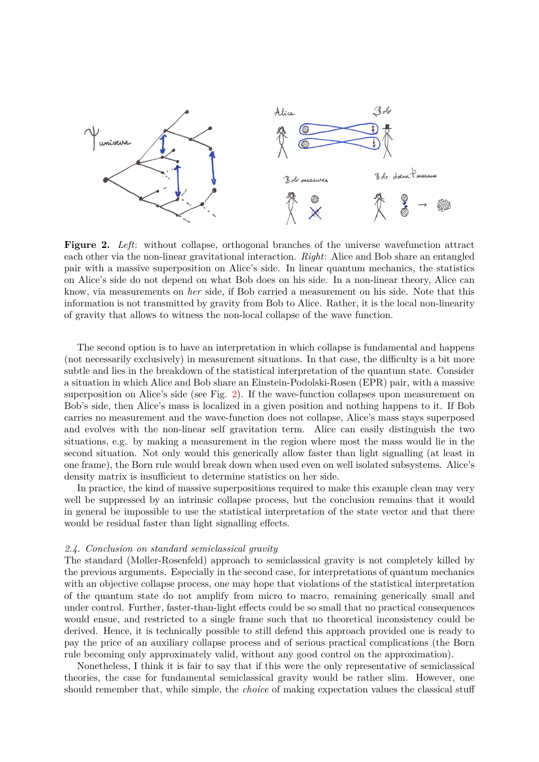

<span id="page-4-0"></span>**Figure 2.** *Left*: without collapse, orthogonal branches of the universe wavefunction attract each other via the non-linear gravitational interaction. *Right*: Alice and Bob share an entangled pair with a massive superposition on Alice's side. In linear quantum mechanics, the statistics on Alice's side do not depend on what Bob does on his side. In a non-linear theory, Alice can know, via measurements on *her* side, if Bob carried a measurement on his side. Note that this information is not transmitted by gravity from Bob to Alice. Rather, it is the local non-linearity of gravity that allows to witness the non-local collapse of the wave function.

The second option is to have an interpretation in which collapse is fundamental and happens (not necessarily exclusively) in measurement situations. In that case, the difficulty is a bit more subtle and lies in the breakdown of the statistical interpretation of the quantum state. Consider a situation in which Alice and Bob share an Einstein-Podolski-Rosen (EPR) pair, with a massive superposition on Alice's side (see Fig. [2\)](#page-4-0). If the wave-function collapses upon measurement on Bob's side, then Alice's mass is localized in a given position and nothing happens to it. If Bob carries no measurement and the wave-function does not collapse, Alice's mass stays superposed and evolves with the non-linear self gravitation term. Alice can easily distinguish the two situations, e.g. by making a measurement in the region where most the mass would lie in the second situation. Not only would this generically allow faster than light signalling (at least in one frame), the Born rule would break down when used even on well isolated subsystems. Alice's density matrix is insufficient to determine statistics on her side.

In practice, the kind of massive superpositions required to make this example clean may very well be suppressed by an intrinsic collapse process, but the conclusion remains that it would in general be impossible to use the statistical interpretation of the state vector and that there would be residual faster than light signalling effects.

## *2.4. Conclusion on standard semiclassical gravity*

The standard (Møller-Rosenfeld) approach to semiclassical gravity is not completely killed by the previous arguments. Especially in the second case, for interpretations of quantum mechanics with an objective collapse process, one may hope that violations of the statistical interpretation of the quantum state do not amplify from micro to macro, remaining generically small and under control. Further, faster-than-light effects could be so small that no practical consequences would ensue, and restricted to a single frame such that no theoretical inconsistency could be derived. Hence, it is technically possible to still defend this approach provided one is ready to pay the price of an auxiliary collapse process and of serious practical complications (the Born rule becoming only approximately valid, without any good control on the approximation).

Nonetheless, I think it is fair to say that if this were the only representative of semiclassical theories, the case for fundamental semiclassical gravity would be rather slim. However, one should remember that, while simple, the *choice* of making expectation values the classical stuff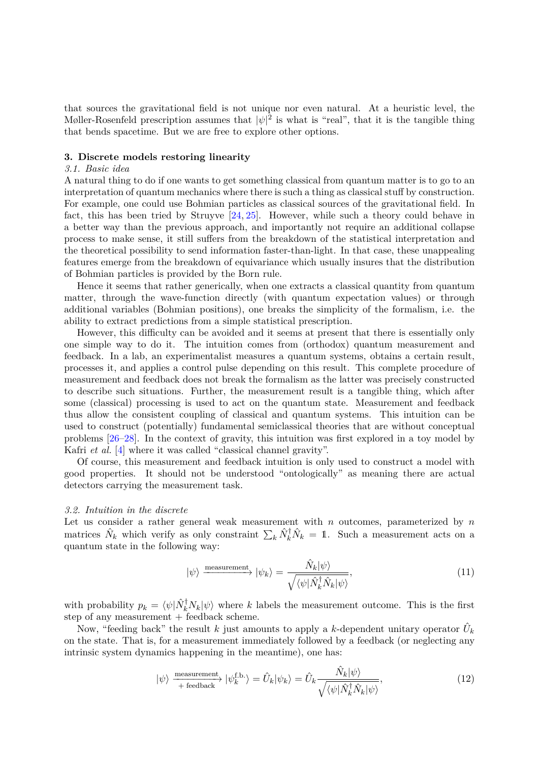that sources the gravitational field is not unique nor even natural. At a heuristic level, the Møller-Rosenfeld prescription assumes that  $|\psi|^2$  is what is "real", that it is the tangible thing that bends spacetime. But we are free to explore other options.

## **3. Discrete models restoring linearity**

## *3.1. Basic idea*

A natural thing to do if one wants to get something classical from quantum matter is to go to an interpretation of quantum mechanics where there is such a thing as classical stuff by construction. For example, one could use Bohmian particles as classical sources of the gravitational field. In fact, this has been tried by Struyve [\[24,](#page-15-14) [25\]](#page-15-15). However, while such a theory could behave in a better way than the previous approach, and importantly not require an additional collapse process to make sense, it still suffers from the breakdown of the statistical interpretation and the theoretical possibility to send information faster-than-light. In that case, these unappealing features emerge from the breakdown of equivariance which usually insures that the distribution of Bohmian particles is provided by the Born rule.

Hence it seems that rather generically, when one extracts a classical quantity from quantum matter, through the wave-function directly (with quantum expectation values) or through additional variables (Bohmian positions), one breaks the simplicity of the formalism, i.e. the ability to extract predictions from a simple statistical prescription.

However, this difficulty can be avoided and it seems at present that there is essentially only one simple way to do it. The intuition comes from (orthodox) quantum measurement and feedback. In a lab, an experimentalist measures a quantum systems, obtains a certain result, processes it, and applies a control pulse depending on this result. This complete procedure of measurement and feedback does not break the formalism as the latter was precisely constructed to describe such situations. Further, the measurement result is a tangible thing, which after some (classical) processing is used to act on the quantum state. Measurement and feedback thus allow the consistent coupling of classical and quantum systems. This intuition can be used to construct (potentially) fundamental semiclassical theories that are without conceptual problems [\[26](#page-15-16)[–28\]](#page-15-17). In the context of gravity, this intuition was first explored in a toy model by Kafri *et al.* [\[4\]](#page-15-1) where it was called "classical channel gravity".

Of course, this measurement and feedback intuition is only used to construct a model with good properties. It should not be understood "ontologically" as meaning there are actual detectors carrying the measurement task.

## *3.2. Intuition in the discrete*

Let us consider a rather general weak measurement with *n* outcomes, parameterized by *n* matrices  $\hat{N}_k$  which verify as only constraint  $\sum_k \hat{N}_k^{\dagger} \hat{N}_k = 1$ . Such a measurement acts on a quantum state in the following way:

<span id="page-5-0"></span>
$$
|\psi\rangle \xrightarrow{\text{measurement}} |\psi_k\rangle = \frac{\hat{N}_k |\psi\rangle}{\sqrt{\langle \psi | \hat{N}_k^\dagger \hat{N}_k | \psi \rangle}},\tag{11}
$$

with probability  $p_k = \langle \psi | \hat{N}_k^{\dagger} N_k | \psi \rangle$  where *k* labels the measurement outcome. This is the first step of any measurement  $+$  feedback scheme.

Now, "feeding back" the result *k* just amounts to apply a *k*-dependent unitary operator  $\hat{U}_k$ on the state. That is, for a measurement immediately followed by a feedback (or neglecting any intrinsic system dynamics happening in the meantime), one has:

$$
|\psi\rangle \xrightarrow{\text{measurement}} |\psi_k^{\text{fb}}\rangle = \hat{U}_k |\psi_k\rangle = \hat{U}_k \frac{\hat{N}_k |\psi\rangle}{\sqrt{\langle \psi | \hat{N}_k^{\dagger} \hat{N}_k | \psi \rangle}},\tag{12}
$$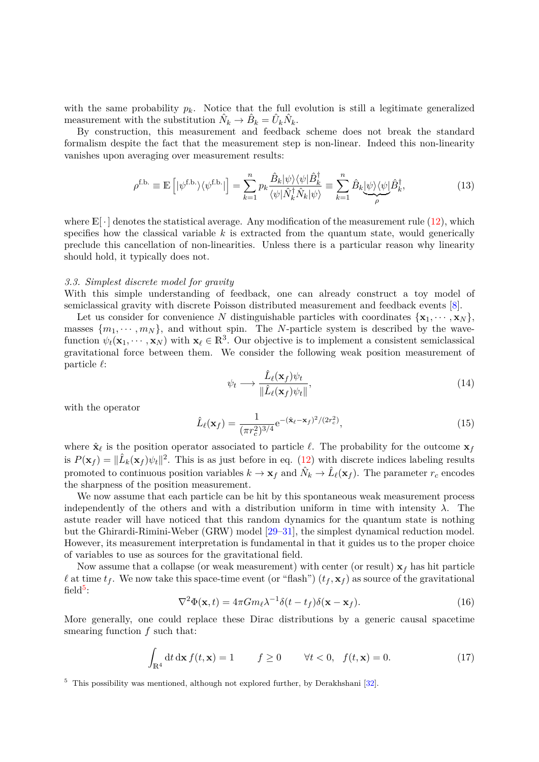with the same probability  $p_k$ . Notice that the full evolution is still a legitimate generalized measurement with the substitution  $\hat{N}_k \to \hat{B}_k = \hat{U}_k \hat{N}_k$ .

By construction, this measurement and feedback scheme does not break the standard formalism despite the fact that the measurement step is non-linear. Indeed this non-linearity vanishes upon averaging over measurement results:

$$
\rho^{\text{f.b.}} \equiv \mathbb{E}\left[|\psi^{\text{f.b.}}\rangle\langle\psi^{\text{f.b.}}|\right] = \sum_{k=1}^{n} p_k \frac{\hat{B}_k|\psi\rangle\langle\psi|\hat{B}_k^{\dagger}}{\langle\psi|\hat{N}_k^{\dagger}\hat{N}_k|\psi\rangle} \equiv \sum_{k=1}^{n} \hat{B}_k \underbrace{|\psi\rangle\langle\psi|\hat{B}_k^{\dagger}}_{\rho},\tag{13}
$$

where  $\mathbb{E}[\cdot]$  denotes the statistical average. Any modification of the measurement rule [\(12\)](#page-5-0), which specifies how the classical variable *k* is extracted from the quantum state, would generically preclude this cancellation of non-linearities. Unless there is a particular reason why linearity should hold, it typically does not.

## *3.3. Simplest discrete model for gravity*

With this simple understanding of feedback, one can already construct a toy model of semiclassical gravity with discrete Poisson distributed measurement and feedback events [\[8\]](#page-15-18).

Let us consider for convenience *N* distinguishable particles with coordinates  $\{x_1, \dots, x_N\}$ , masses  $\{m_1, \dots, m_N\}$ , and without spin. The *N*-particle system is described by the wavefunction  $\psi_t(\mathbf{x}_1, \dots, \mathbf{x}_N)$  with  $\mathbf{x}_{\ell} \in \mathbb{R}^3$ . Our objective is to implement a consistent semiclassical gravitational force between them. We consider the following weak position measurement of particle *`*:

$$
\psi_t \longrightarrow \frac{\hat{L}_{\ell}(\mathbf{x}_f)\psi_t}{\|\hat{L}_{\ell}(\mathbf{x}_f)\psi_t\|},\tag{14}
$$

with the operator

$$
\hat{L}_{\ell}(\mathbf{x}_f) = \frac{1}{(\pi r_c^2)^{3/4}} e^{-(\hat{\mathbf{x}}_{\ell} - \mathbf{x}_f)^2/(2r_c^2)},
$$
\n(15)

where  $\hat{\mathbf{x}}_{\ell}$  is the position operator associated to particle  $\ell$ . The probability for the outcome  $\mathbf{x}_{f}$ is  $P(\mathbf{x}_f) = \|\hat{L}_k(\mathbf{x}_f)\psi_t\|^2$ . This is as just before in eq. [\(12\)](#page-5-0) with discrete indices labeling results promoted to continuous position variables  $k \to x_f$  and  $\hat{N}_k \to \hat{L}_\ell(x_f)$ . The parameter  $r_c$  encodes the sharpness of the position measurement.

We now assume that each particle can be hit by this spontaneous weak measurement process independently of the others and with a distribution uniform in time with intensity  $\lambda$ . The astute reader will have noticed that this random dynamics for the quantum state is nothing but the Ghirardi-Rimini-Weber (GRW) model [\[29–](#page-15-19)[31\]](#page-15-20), the simplest dynamical reduction model. However, its measurement interpretation is fundamental in that it guides us to the proper choice of variables to use as sources for the gravitational field.

<span id="page-6-1"></span>Now assume that a collapse (or weak measurement) with center (or result)  $\mathbf{x}_f$  has hit particle  $\ell$  at time  $t_f$ . We now take this space-time event (or "flash")  $(t_f, \mathbf{x}_f)$  as source of the gravitational  $\text{field}^5$  $\text{field}^5$ :

$$
\nabla^2 \Phi(\mathbf{x}, t) = 4\pi G m_\ell \lambda^{-1} \delta(t - t_f) \delta(\mathbf{x} - \mathbf{x}_f). \tag{16}
$$

More generally, one could replace these Dirac distributions by a generic causal spacetime smearing function *f* such that:

$$
\int_{\mathbb{R}^4} dt \, d\mathbf{x} \, f(t, \mathbf{x}) = 1 \qquad f \ge 0 \qquad \forall t < 0, \quad f(t, \mathbf{x}) = 0. \tag{17}
$$

<span id="page-6-0"></span><sup>5</sup> This possibility was mentioned, although not explored further, by Derakhshani [\[32\]](#page-15-21).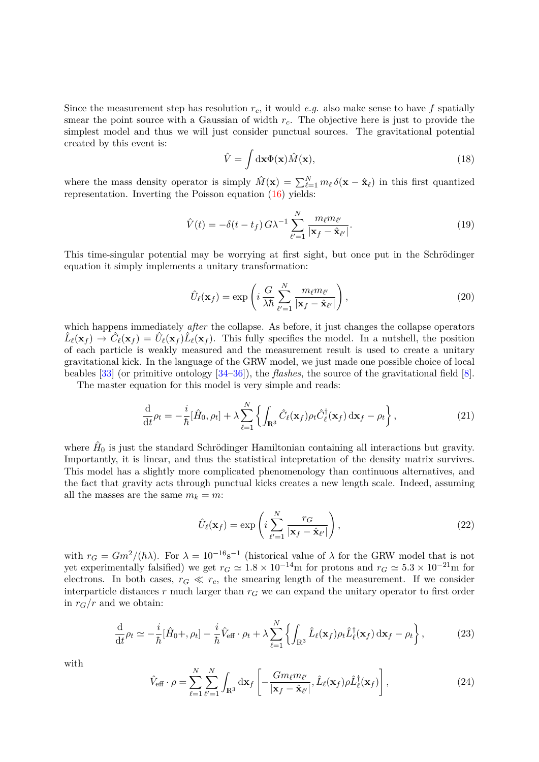Since the measurement step has resolution *rc*, it would *e.g.* also make sense to have *f* spatially smear the point source with a Gaussian of width *rc*. The objective here is just to provide the simplest model and thus we will just consider punctual sources. The gravitational potential created by this event is:

$$
\hat{V} = \int d\mathbf{x} \Phi(\mathbf{x}) \hat{M}(\mathbf{x}),\tag{18}
$$

where the mass density operator is simply  $\hat{M}(\mathbf{x}) = \sum_{\ell=1}^{N} m_{\ell} \delta(\mathbf{x} - \hat{\mathbf{x}}_{\ell})$  in this first quantized representation. Inverting the Poisson equation [\(16\)](#page-6-1) yields:

$$
\hat{V}(t) = -\delta(t - t_f) G \lambda^{-1} \sum_{\ell'=1}^{N} \frac{m_{\ell} m_{\ell'}}{|\mathbf{x}_f - \hat{\mathbf{x}}_{\ell'}|}.
$$
\n(19)

This time-singular potential may be worrying at first sight, but once put in the Schrödinger equation it simply implements a unitary transformation:

<span id="page-7-0"></span>
$$
\hat{U}_{\ell}(\mathbf{x}_f) = \exp\left(i\,\frac{G}{\lambda\hbar}\sum_{\ell'=1}^{N}\frac{m_{\ell}m_{\ell'}}{|\mathbf{x}_f - \hat{\mathbf{x}}_{\ell'}|}\right),\tag{20}
$$

which happens immediately *after* the collapse. As before, it just changes the collapse operators  $\hat{L}_{\ell}(\mathbf{x}_f) \to \hat{C}_{\ell}(\mathbf{x}_f) = \hat{U}_{\ell}(\mathbf{x}_f) \hat{L}_{\ell}(\mathbf{x}_f)$ . This fully specifies the model. In a nutshell, the position of each particle is weakly measured and the measurement result is used to create a unitary gravitational kick. In the language of the GRW model, we just made one possible choice of local beables [\[33\]](#page-15-22) (or primitive ontology [\[34–](#page-15-23)[36\]](#page-15-24)), the *flashes*, the source of the gravitational field [\[8\]](#page-15-18).

The master equation for this model is very simple and reads:

$$
\frac{\mathrm{d}}{\mathrm{d}t}\rho_t = -\frac{i}{\hbar}[\hat{H}_0, \rho_t] + \lambda \sum_{\ell=1}^N \left\{ \int_{\mathbb{R}^3} \hat{C}_\ell(\mathbf{x}_f) \rho_t \hat{C}_\ell^\dagger(\mathbf{x}_f) \, \mathrm{d}\mathbf{x}_f - \rho_t \right\},\tag{21}
$$

where  $\hat{H}_0$  is just the standard Schrödinger Hamiltonian containing all interactions but gravity. Importantly, it is linear, and thus the statistical intepretation of the density matrix survives. This model has a slightly more complicated phenomenology than continuous alternatives, and the fact that gravity acts through punctual kicks creates a new length scale. Indeed, assuming all the masses are the same  $m_k = m$ :

$$
\hat{U}_{\ell}(\mathbf{x}_f) = \exp\left(i\sum_{\ell'=1}^N \frac{r_G}{|\mathbf{x}_f - \hat{\mathbf{x}}_{\ell'}|}\right),\tag{22}
$$

with  $r_G = Gm^2/(\hbar\lambda)$ . For  $\lambda = 10^{-16}$ s<sup>-1</sup> (historical value of  $\lambda$  for the GRW model that is not yet experimentally falsified) we get  $r_G \approx 1.8 \times 10^{-14}$ m for protons and  $r_G \approx 5.3 \times 10^{-21}$ m for electrons. In both cases,  $r_G \ll r_c$ , the smearing length of the measurement. If we consider interparticle distances  $r$  much larger than  $r<sub>G</sub>$  we can expand the unitary operator to first order in  $r_G/r$  and we obtain:

$$
\frac{\mathrm{d}}{\mathrm{d}t}\rho_t \simeq -\frac{i}{\hbar}[\hat{H}_0 + , \rho_t] - \frac{i}{\hbar}\hat{V}_{\text{eff}} \cdot \rho_t + \lambda \sum_{\ell=1}^N \left\{ \int_{\mathbb{R}^3} \hat{L}_\ell(\mathbf{x}_f) \rho_t \hat{L}_\ell^\dagger(\mathbf{x}_f) \, \mathrm{d}\mathbf{x}_f - \rho_t \right\},\tag{23}
$$

with

$$
\hat{V}_{\text{eff}} \cdot \rho = \sum_{\ell=1}^{N} \sum_{\ell'=1}^{N} \int_{\mathbb{R}^3} d\mathbf{x}_f \left[ -\frac{Gm_{\ell}m_{\ell'}}{|\mathbf{x}_f - \hat{\mathbf{x}}_{\ell'}|}, \hat{L}_{\ell}(\mathbf{x}_f) \rho \hat{L}_{\ell}^{\dagger}(\mathbf{x}_f) \right],
$$
\n(24)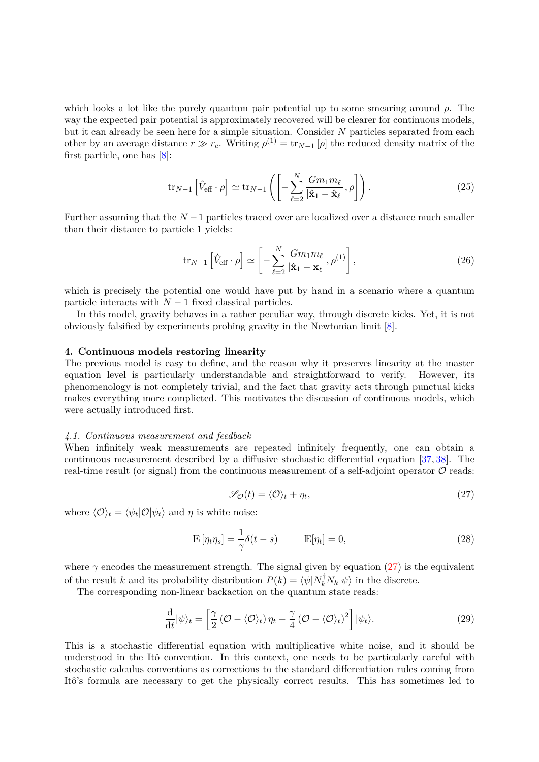which looks a lot like the purely quantum pair potential up to some smearing around *ρ*. The way the expected pair potential is approximately recovered will be clearer for continuous models, but it can already be seen here for a simple situation. Consider *N* particles separated from each other by an average distance  $r \gg r_c$ . Writing  $\rho^{(1)} = \text{tr}_{N-1}[\rho]$  the reduced density matrix of the first particle, one has [\[8\]](#page-15-18):

$$
\operatorname{tr}_{N-1}\left[\hat{V}_{\text{eff}}\cdot\rho\right] \simeq \operatorname{tr}_{N-1}\left(\left[-\sum_{\ell=2}^{N}\frac{Gm_1m_\ell}{|\hat{\mathbf{x}}_1-\hat{\mathbf{x}}_\ell|},\rho\right]\right). \tag{25}
$$

Further assuming that the *N* −1 particles traced over are localized over a distance much smaller than their distance to particle 1 yields:

$$
\text{tr}_{N-1}\left[\hat{V}_{\text{eff}}\cdot\rho\right] \simeq \left[-\sum_{\ell=2}^{N} \frac{Gm_1m_\ell}{|\hat{\mathbf{x}}_1 - \mathbf{x}_\ell|}, \rho^{(1)}\right],\tag{26}
$$

which is precisely the potential one would have put by hand in a scenario where a quantum particle interacts with  $N-1$  fixed classical particles.

In this model, gravity behaves in a rather peculiar way, through discrete kicks. Yet, it is not obviously falsified by experiments probing gravity in the Newtonian limit [\[8\]](#page-15-18).

## **4. Continuous models restoring linearity**

The previous model is easy to define, and the reason why it preserves linearity at the master equation level is particularly understandable and straightforward to verify. However, its phenomenology is not completely trivial, and the fact that gravity acts through punctual kicks makes everything more complicted. This motivates the discussion of continuous models, which were actually introduced first.

#### *4.1. Continuous measurement and feedback*

<span id="page-8-0"></span>When infinitely weak measurements are repeated infinitely frequently, one can obtain a continuous measurement described by a diffusive stochastic differential equation [\[37,](#page-15-25) [38\]](#page-15-26). The real-time result (or signal) from the continuous measurement of a self-adjoint operator  $\mathcal O$  reads:

<span id="page-8-1"></span>
$$
\mathcal{S}_{\mathcal{O}}(t) = \langle \mathcal{O} \rangle_t + \eta_t,\tag{27}
$$

where  $\langle \mathcal{O} \rangle_t = \langle \psi_t | \mathcal{O} | \psi_t \rangle$  and  $\eta$  is white noise:

$$
\mathbb{E}[\eta_t \eta_s] = \frac{1}{\gamma} \delta(t - s) \qquad \mathbb{E}[\eta_t] = 0,
$$
\n(28)

where  $\gamma$  encodes the measurement strength. The signal given by equation [\(27\)](#page-8-0) is the equivalent of the result *k* and its probability distribution  $P(k) = \langle \psi | N_k^{\dagger} N_k | \psi \rangle$  in the discrete.

The corresponding non-linear backaction on the quantum state reads:

$$
\frac{\mathrm{d}}{\mathrm{d}t}|\psi\rangle_t = \left[\frac{\gamma}{2}\left(\mathcal{O} - \langle\mathcal{O}\rangle_t\right)\eta_t - \frac{\gamma}{4}\left(\mathcal{O} - \langle\mathcal{O}\rangle_t\right)^2\right]|\psi_t\rangle. \tag{29}
$$

This is a stochastic differential equation with multiplicative white noise, and it should be understood in the Itô convention. In this context, one needs to be particularly careful with stochastic calculus conventions as corrections to the standard differentiation rules coming from Itô's formula are necessary to get the physically correct results. This has sometimes led to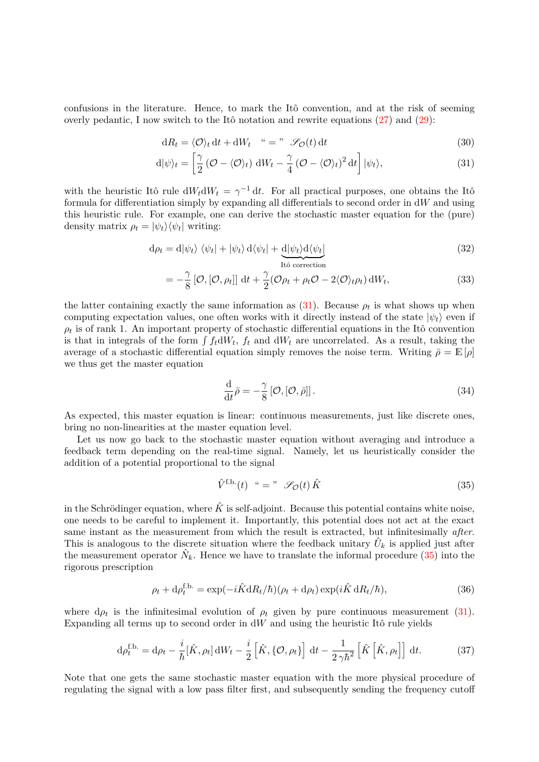confusions in the literature. Hence, to mark the Itô convention, and at the risk of seeming overly pedantic, I now switch to the Itô notation and rewrite equations  $(27)$  and  $(29)$ :

<span id="page-9-0"></span>
$$
dR_t = \langle \mathcal{O} \rangle_t dt + dW_t \quad " = " \quad \mathcal{S}_\mathcal{O}(t) dt \tag{30}
$$

$$
d|\psi\rangle_t = \left[\frac{\gamma}{2} \left(\mathcal{O} - \langle \mathcal{O} \rangle_t\right) dW_t - \frac{\gamma}{4} \left(\mathcal{O} - \langle \mathcal{O} \rangle_t\right)^2 dt\right] |\psi_t\rangle, \tag{31}
$$

with the heuristic Itô rule  $dW_t dW_t = \gamma^{-1} dt$ . For all practical purposes, one obtains the Itô formula for differentiation simply by expanding all differentials to second order in d*W* and using this heuristic rule. For example, one can derive the stochastic master equation for the (pure) density matrix  $\rho_t = |\psi_t\rangle \langle \psi_t|$  writing:

$$
d\rho_t = d|\psi_t\rangle \langle \psi_t| + |\psi_t\rangle d\langle \psi_t| + \underbrace{d|\psi_t\rangle d\langle \psi_t|}_{\text{Itô correction}} \tag{32}
$$

$$
= -\frac{\gamma}{8} [\mathcal{O}, [\mathcal{O}, \rho_t]] \, \mathrm{d}t + \frac{\gamma}{2} (\mathcal{O}\rho_t + \rho_t \mathcal{O} - 2 \langle \mathcal{O} \rangle_t \rho_t) \, \mathrm{d}W_t, \tag{33}
$$

the latter containing exactly the same information as  $(31)$ . Because  $\rho_t$  is what shows up when computing expectation values, one often works with it directly instead of the state  $|\psi_t\rangle$  even if  $\rho_t$  is of rank 1. An important property of stochastic differential equations in the Itô convention is that in integrals of the form  $\int f_t dW_t$ ,  $f_t$  and  $dW_t$  are uncorrelated. As a result, taking the average of a stochastic differential equation simply removes the noise term. Writing  $\bar{\rho} = \mathbb{E}[\rho]$ we thus get the master equation

$$
\frac{\mathrm{d}}{\mathrm{d}t}\bar{\rho} = -\frac{\gamma}{8} \left[ \mathcal{O}, [\mathcal{O}, \bar{\rho}]\right].\tag{34}
$$

As expected, this master equation is linear: continuous measurements, just like discrete ones, bring no non-linearities at the master equation level.

Let us now go back to the stochastic master equation without averaging and introduce a feedback term depending on the real-time signal. Namely, let us heuristically consider the addition of a potential proportional to the signal

<span id="page-9-3"></span><span id="page-9-1"></span>
$$
\hat{V}^{\text{f.b.}}(t) \overset{\text{w}}{=} \text{''} \mathscr{S}_{\mathcal{O}}(t) \hat{K} \tag{35}
$$

in the Schrödinger equation, where  $\hat{K}$  is self-adjoint. Because this potential contains white noise, one needs to be careful to implement it. Importantly, this potential does not act at the exact same instant as the measurement from which the result is extracted, but infinitesimally *after*. This is analogous to the discrete situation where the feedback unitary  $\hat{U}_k$  is applied just after the measurement operator  $\hat{N}_k$ . Hence we have to translate the informal procedure [\(35\)](#page-9-1) into the rigorous prescription

<span id="page-9-2"></span>
$$
\rho_t + d\rho_t^{\text{f.b.}} = \exp(-i\hat{K}dR_t/\hbar)(\rho_t + d\rho_t)\exp(i\hat{K}dR_t/\hbar),\tag{36}
$$

where  $d\rho_t$  is the infinitesimal evolution of  $\rho_t$  given by pure continuous measurement [\(31\)](#page-9-0). Expanding all terms up to second order in  $dW$  and using the heuristic Itô rule yields

$$
\mathrm{d}\rho_t^{\text{f.b.}} = \mathrm{d}\rho_t - \frac{i}{\hbar} [\hat{K}, \rho_t] \, \mathrm{d}W_t - \frac{i}{2} \left[ \hat{K}, \{ \mathcal{O}, \rho_t \} \right] \, \mathrm{d}t - \frac{1}{2\gamma \hbar^2} \left[ \hat{K} \left[ \hat{K}, \rho_t \right] \right] \, \mathrm{d}t. \tag{37}
$$

Note that one gets the same stochastic master equation with the more physical procedure of regulating the signal with a low pass filter first, and subsequently sending the frequency cutoff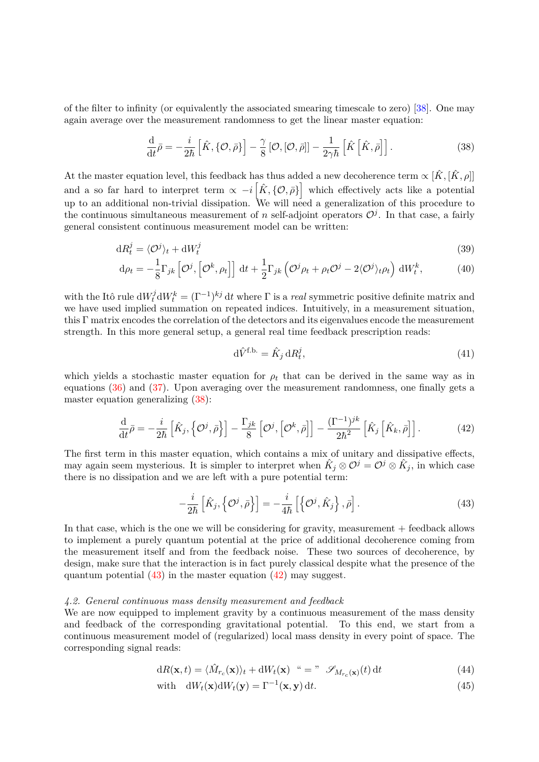of the filter to infinity (or equivalently the associated smearing timescale to zero) [\[38\]](#page-15-26). One may again average over the measurement randomness to get the linear master equation:

<span id="page-10-0"></span>
$$
\frac{\mathrm{d}}{\mathrm{d}t}\bar{\rho} = -\frac{i}{2\hbar}\left[\hat{K}, \{\mathcal{O}, \bar{\rho}\}\right] - \frac{\gamma}{8}\left[\mathcal{O}, [\mathcal{O}, \bar{\rho}]\right] - \frac{1}{2\gamma\hbar}\left[\hat{K}\left[\hat{K}, \bar{\rho}\right]\right].\tag{38}
$$

At the master equation level, this feedback has thus added a new decoherence term  $\propto [\hat{K}, [\hat{K}, \rho]]$ and a so far hard to interpret term  $\alpha - i \left[ \hat{K}, \{ \mathcal{O}, \bar{\rho} \} \right]$  which effectively acts like a potential up to an additional non-trivial dissipation. We will need a generalization of this procedure to the continuous simultaneous measurement of *n* self-adjoint operators  $\mathcal{O}^j$ . In that case, a fairly general consistent continuous measurement model can be written:

$$
dR_t^j = \langle \mathcal{O}^j \rangle_t + dW_t^j \tag{39}
$$

$$
\mathrm{d}\rho_t = -\frac{1}{8}\Gamma_{jk}\left[\mathcal{O}^j,\left[\mathcal{O}^k,\rho_t\right]\right] \mathrm{d}t + \frac{1}{2}\Gamma_{jk}\left(\mathcal{O}^j\rho_t + \rho_t\mathcal{O}^j - 2\langle\mathcal{O}^j\rangle_t\rho_t\right) \mathrm{d}W_t^k,\tag{40}
$$

with the Itô rule  $dW_t^j dW_t^k = (\Gamma^{-1})^{kj} dt$  where  $\Gamma$  is a *real* symmetric positive definite matrix and we have used implied summation on repeated indices. Intuitively, in a measurement situation, this Γ matrix encodes the correlation of the detectors and its eigenvalues encode the measurement strength. In this more general setup, a general real time feedback prescription reads:

<span id="page-10-2"></span><span id="page-10-1"></span>
$$
\mathrm{d}\hat{V}^{\text{f.b.}} = \hat{K}_j \,\mathrm{d}R_t^j,\tag{41}
$$

which yields a stochastic master equation for  $\rho_t$  that can be derived in the same way as in equations [\(36\)](#page-9-2) and [\(37\)](#page-9-3). Upon averaging over the measurement randomness, one finally gets a master equation generalizing [\(38\)](#page-10-0):

$$
\frac{\mathrm{d}}{\mathrm{d}t}\bar{\rho} = -\frac{i}{2\hbar}\left[\hat{K}_j, \left\{\mathcal{O}^j, \bar{\rho}\right\}\right] - \frac{\Gamma_{jk}}{8}\left[\mathcal{O}^j, \left[\mathcal{O}^k, \bar{\rho}\right]\right] - \frac{(\Gamma^{-1})^{jk}}{2\hbar^2}\left[\hat{K}_j\left[\hat{K}_k, \bar{\rho}\right]\right].\tag{42}
$$

The first term in this master equation, which contains a mix of unitary and dissipative effects, may again seem mysterious. It is simpler to interpret when  $\hat{K}_j \otimes \mathcal{O}^j = \mathcal{O}^j \otimes \hat{K}_j$ , in which case there is no dissipation and we are left with a pure potential term:

$$
-\frac{i}{2\hbar}\left[\hat{K}_j,\left\{\mathcal{O}^j,\bar{\rho}\right\}\right] = -\frac{i}{4\hbar}\left[\left\{\mathcal{O}^j,\hat{K}_j\right\},\bar{\rho}\right].\tag{43}
$$

In that case, which is the one we will be considering for gravity, measurement + feedback allows to implement a purely quantum potential at the price of additional decoherence coming from the measurement itself and from the feedback noise. These two sources of decoherence, by design, make sure that the interaction is in fact purely classical despite what the presence of the quantum potential  $(43)$  in the master equation  $(42)$  may suggest.

#### *4.2. General continuous mass density measurement and feedback*

We are now equipped to implement gravity by a continuous measurement of the mass density and feedback of the corresponding gravitational potential. To this end, we start from a continuous measurement model of (regularized) local mass density in every point of space. The corresponding signal reads:

<span id="page-10-3"></span>
$$
dR(\mathbf{x},t) = \langle \hat{M}_{r_c}(\mathbf{x}) \rangle_t + dW_t(\mathbf{x}) \quad \text{``} = \text{''} \quad \mathscr{S}_{M_{r_c}(\mathbf{x})}(t) dt \tag{44}
$$

with 
$$
dW_t(\mathbf{x})dW_t(\mathbf{y}) = \Gamma^{-1}(\mathbf{x}, \mathbf{y})dt.
$$
 (45)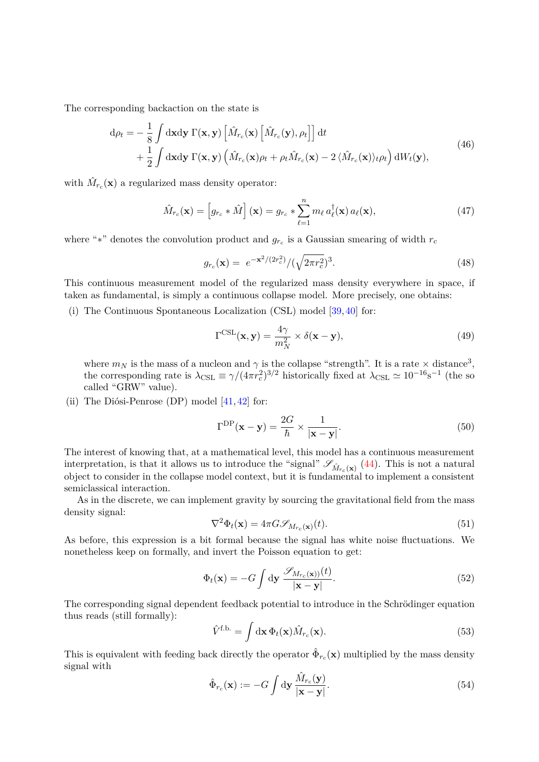The corresponding backaction on the state is

$$
d\rho_t = -\frac{1}{8} \int d\mathbf{x} d\mathbf{y} \Gamma(\mathbf{x}, \mathbf{y}) \left[ \hat{M}_{r_c}(\mathbf{x}) \left[ \hat{M}_{r_c}(\mathbf{y}), \rho_t \right] \right] dt + \frac{1}{2} \int d\mathbf{x} d\mathbf{y} \Gamma(\mathbf{x}, \mathbf{y}) \left( \hat{M}_{r_c}(\mathbf{x}) \rho_t + \rho_t \hat{M}_{r_c}(\mathbf{x}) - 2 \langle \hat{M}_{r_c}(\mathbf{x}) \rangle_t \rho_t \right) dW_t(\mathbf{y}),
$$
(46)

with  $\hat{M}_{r_c}(\mathbf{x})$  a regularized mass density operator:

$$
\hat{M}_{r_c}(\mathbf{x}) = \left[ g_{r_c} * \hat{M} \right](\mathbf{x}) = g_{r_c} * \sum_{\ell=1}^n m_\ell a_\ell^\dagger(\mathbf{x}) a_\ell(\mathbf{x}), \tag{47}
$$

where "\*" denotes the convolution product and  $g_{r_c}$  is a Gaussian smearing of width  $r_c$ 

$$
g_{r_c}(\mathbf{x}) = e^{-\mathbf{x}^2/(2r_c^2)} / (\sqrt{2\pi r_c^2})^3.
$$
 (48)

This continuous measurement model of the regularized mass density everywhere in space, if taken as fundamental, is simply a continuous collapse model. More precisely, one obtains:

(i) The Continuous Spontaneous Localization (CSL) model [\[39,](#page-15-27) [40\]](#page-15-28) for:

$$
\Gamma^{\text{CSL}}(\mathbf{x}, \mathbf{y}) = \frac{4\gamma}{m_N^2} \times \delta(\mathbf{x} - \mathbf{y}),\tag{49}
$$

where  $m_N$  is the mass of a nucleon and  $\gamma$  is the collapse "strength". It is a rate  $\times$  distance<sup>3</sup>, the corresponding rate is  $\lambda_{\text{CSL}} \equiv \gamma/(4\pi r_c^2)^{3/2}$  historically fixed at  $\lambda_{\text{CSL}} \simeq 10^{-16} \text{s}^{-1}$  (the so called "GRW" value).

(ii) The Diósi-Penrose (DP) model  $[41, 42]$  $[41, 42]$  for:

$$
\Gamma^{\rm DP}(\mathbf{x} - \mathbf{y}) = \frac{2G}{\hbar} \times \frac{1}{|\mathbf{x} - \mathbf{y}|}.
$$
\n(50)

The interest of knowing that, at a mathematical level, this model has a continuous measurement interpretation, is that it allows us to introduce the "signal"  $\mathscr{S}_{\hat{M}_{r_c}(\mathbf{x})}$  [\(44\)](#page-10-3). This is not a natural object to consider in the collapse model context, but it is fundamental to implement a consistent semiclassical interaction.

As in the discrete, we can implement gravity by sourcing the gravitational field from the mass density signal:

$$
\nabla^2 \Phi_t(\mathbf{x}) = 4\pi G \mathcal{S}_{M_{rc}(\mathbf{x})}(t). \tag{51}
$$

As before, this expression is a bit formal because the signal has white noise fluctuations. We nonetheless keep on formally, and invert the Poisson equation to get:

$$
\Phi_t(\mathbf{x}) = -G \int \mathrm{d}\mathbf{y} \, \frac{\mathscr{S}_{M_{rc}(\mathbf{x})}(t)}{|\mathbf{x} - \mathbf{y}|}.\tag{52}
$$

The corresponding signal dependent feedback potential to introduce in the Schrödinger equation thus reads (still formally):

$$
\hat{V}^{\text{f.b.}} = \int d\mathbf{x} \, \Phi_t(\mathbf{x}) \hat{M}_{r_c}(\mathbf{x}). \tag{53}
$$

This is equivalent with feeding back directly the operator  $\hat{\Phi}_{r_c}(\mathbf{x})$  multiplied by the mass density signal with

$$
\hat{\Phi}_{r_c}(\mathbf{x}) := -G \int \mathrm{d} \mathbf{y} \, \frac{\hat{M}_{r_c}(\mathbf{y})}{|\mathbf{x} - \mathbf{y}|}.\tag{54}
$$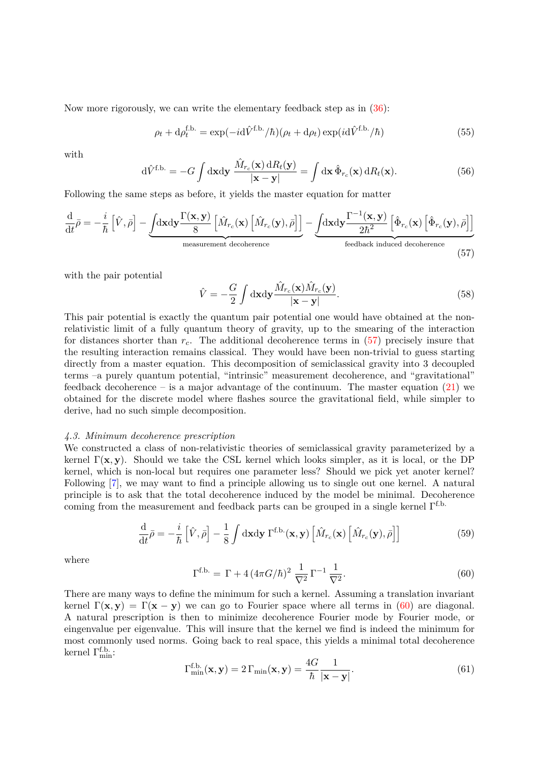Now more rigorously, we can write the elementary feedback step as in [\(36\)](#page-9-2):

$$
\rho_t + d\rho_t^{\text{f.b.}} = \exp(-i d\hat{V}^{\text{f.b.}}/\hbar)(\rho_t + d\rho_t) \exp(i d\hat{V}^{\text{f.b.}}/\hbar)
$$
(55)

with

$$
\mathrm{d}\hat{V}^{\text{f.b.}} = -G \int \mathrm{d}\mathbf{x} \mathrm{d}\mathbf{y} \, \frac{\hat{M}_{r_c}(\mathbf{x}) \, \mathrm{d}R_t(\mathbf{y})}{|\mathbf{x} - \mathbf{y}|} = \int \mathrm{d}\mathbf{x} \, \hat{\Phi}_{r_c}(\mathbf{x}) \, \mathrm{d}R_t(\mathbf{x}). \tag{56}
$$

Following the same steps as before, it yields the master equation for matter

$$
\frac{\mathrm{d}}{\mathrm{d}t}\bar{\rho} = -\frac{i}{\hbar} \left[ \hat{V}, \bar{\rho} \right] - \underbrace{\int \mathrm{d} \mathbf{x} \mathrm{d} \mathbf{y} \frac{\Gamma(\mathbf{x}, \mathbf{y})}{8} \left[ \hat{M}_{r_c}(\mathbf{x}) \left[ \hat{M}_{r_c}(\mathbf{y}), \bar{\rho} \right] \right]}_{\text{measurement decoherence}} - \underbrace{\int \mathrm{d} \mathbf{x} \mathrm{d} \mathbf{y} \frac{\Gamma^{-1}(\mathbf{x}, \mathbf{y})}{2\hbar^2} \left[ \hat{\Phi}_{r_c}(\mathbf{x}) \left[ \hat{\Phi}_{r_c}(\mathbf{y}), \bar{\rho} \right] \right]}_{\text{feedback induced decoherence}}
$$
\n(57)

with the pair potential

<span id="page-12-0"></span>
$$
\hat{V} = -\frac{G}{2} \int d\mathbf{x} d\mathbf{y} \frac{\hat{M}_{r_c}(\mathbf{x}) \hat{M}_{r_c}(\mathbf{y})}{|\mathbf{x} - \mathbf{y}|}.
$$
\n(58)

This pair potential is exactly the quantum pair potential one would have obtained at the nonrelativistic limit of a fully quantum theory of gravity, up to the smearing of the interaction for distances shorter than  $r_c$ . The additional decoherence terms in  $(57)$  precisely insure that the resulting interaction remains classical. They would have been non-trivial to guess starting directly from a master equation. This decomposition of semiclassical gravity into 3 decoupled terms –a purely quantum potential, "intrinsic" measurement decoherence, and "gravitational" feedback decoherence – is a major advantage of the continuum. The master equation  $(21)$  we obtained for the discrete model where flashes source the gravitational field, while simpler to derive, had no such simple decomposition.

#### *4.3. Minimum decoherence prescription*

We constructed a class of non-relativistic theories of semiclassical gravity parameterized by a kernel  $\Gamma(\mathbf{x}, \mathbf{y})$ . Should we take the CSL kernel which looks simpler, as it is local, or the DP kernel, which is non-local but requires one parameter less? Should we pick yet anoter kernel? Following [\[7\]](#page-15-31), we may want to find a principle allowing us to single out one kernel. A natural principle is to ask that the total decoherence induced by the model be minimal. Decoherence coming from the measurement and feedback parts can be grouped in a single kernel Γf.b.

$$
\frac{\mathrm{d}}{\mathrm{d}t}\bar{\rho} = -\frac{i}{\hbar} \left[ \hat{V}, \bar{\rho} \right] - \frac{1}{8} \int \mathrm{d} \mathbf{x} \mathrm{d} \mathbf{y} \Gamma^{\text{f.b.}}(\mathbf{x}, \mathbf{y}) \left[ \hat{M}_{r_c}(\mathbf{x}) \left[ \hat{M}_{r_c}(\mathbf{y}), \bar{\rho} \right] \right]
$$
(59)

<span id="page-12-1"></span>where

$$
\Gamma^{\text{f.b.}} = \Gamma + 4\left(4\pi G/\hbar\right)^2 \frac{1}{\nabla^2} \Gamma^{-1} \frac{1}{\nabla^2}.
$$
\n
$$
(60)
$$

There are many ways to define the minimum for such a kernel. Assuming a translation invariant kernel  $\Gamma(\mathbf{x}, \mathbf{y}) = \Gamma(\mathbf{x} - \mathbf{y})$  we can go to Fourier space where all terms in [\(60\)](#page-12-1) are diagonal. A natural prescription is then to minimize decoherence Fourier mode by Fourier mode, or eingenvalue per eigenvalue. This will insure that the kernel we find is indeed the minimum for most commonly used norms. Going back to real space, this yields a minimal total decoherence kernel  $\Gamma^{\mathrm{f.b.}}_{\mathrm{min}}$ :

$$
\Gamma_{\min}^{\text{f.b.}}(\mathbf{x}, \mathbf{y}) = 2 \Gamma_{\min}(\mathbf{x}, \mathbf{y}) = \frac{4G}{\hbar} \frac{1}{|\mathbf{x} - \mathbf{y}|}.
$$
 (61)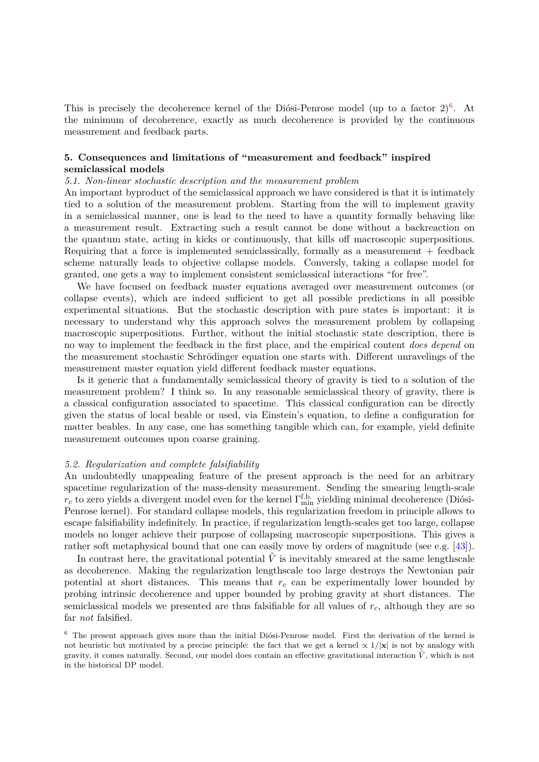This is precisely the decoherence kernel of the Diósi-Penrose model (up to a factor  $2)^6$  $2)^6$ . At the minimum of decoherence, exactly as much decoherence is provided by the continuous measurement and feedback parts.

## **5. Consequences and limitations of "measurement and feedback" inspired semiclassical models**

## *5.1. Non-linear stochastic description and the measurement problem*

An important byproduct of the semiclassical approach we have considered is that it is intimately tied to a solution of the measurement problem. Starting from the will to implement gravity in a semiclassical manner, one is lead to the need to have a quantity formally behaving like a measurement result. Extracting such a result cannot be done without a backreaction on the quantum state, acting in kicks or continuously, that kills off macroscopic superpositions. Requiring that a force is implemented semiclassically, formally as a measurement + feedback scheme naturally leads to objective collapse models. Conversly, taking a collapse model for granted, one gets a way to implement consistent semiclassical interactions "for free".

We have focused on feedback master equations averaged over measurement outcomes (or collapse events), which are indeed sufficient to get all possible predictions in all possible experimental situations. But the stochastic description with pure states is important: it is necessary to understand why this approach solves the measurement problem by collapsing macroscopic superpositions. Further, without the initial stochastic state description, there is no way to implement the feedback in the first place, and the empirical content *does depend* on the measurement stochastic Schrödinger equation one starts with. Different unravelings of the measurement master equation yield different feedback master equations.

Is it generic that a fundamentally semiclassical theory of gravity is tied to a solution of the measurement problem? I think so. In any reasonable semiclassical theory of gravity, there is a classical configuration associated to spacetime. This classical configuration can be directly given the status of local beable or used, via Einstein's equation, to define a configuration for matter beables. In any case, one has something tangible which can, for example, yield definite measurement outcomes upon coarse graining.

## *5.2. Regularization and complete falsifiability*

An undoubtedly unappealing feature of the present approach is the need for an arbitrary spacetime regularization of the mass-density measurement. Sending the smearing length-scale  $r_c$  to zero yields a divergent model even for the kernel  $\Gamma_{\min}^{\text{f.b.}}$  yielding minimal decoherence (Diósi-Penrose kernel). For standard collapse models, this regularization freedom in principle allows to escape falsifiability indefinitely. In practice, if regularization length-scales get too large, collapse models no longer achieve their purpose of collapsing macroscopic superpositions. This gives a rather soft metaphysical bound that one can easily move by orders of magnitude (see e.g. [\[43\]](#page-15-32)).

In contrast here, the gravitational potential  $\hat{V}$  is inevitably smeared at the same lengthscale as decoherence. Making the regularization lengthscale too large destroys the Newtonian pair potential at short distances. This means that  $r_c$  can be experimentally lower bounded by probing intrinsic decoherence and upper bounded by probing gravity at short distances. The semiclassical models we presented are thus falsifiable for all values of *rc*, although they are so far *not* falsified.

<span id="page-13-0"></span> $6$  The present approach gives more than the initial Diósi-Penrose model. First the derivation of the kernel is not heuristic but motivated by a precise principle: the fact that we get a kernel  $\propto 1/\mathbf{x}$  is not by analogy with gravity, it comes naturally. Second, our model does contain an effective gravitational interaction  $\hat{V}$ , which is not in the historical DP model.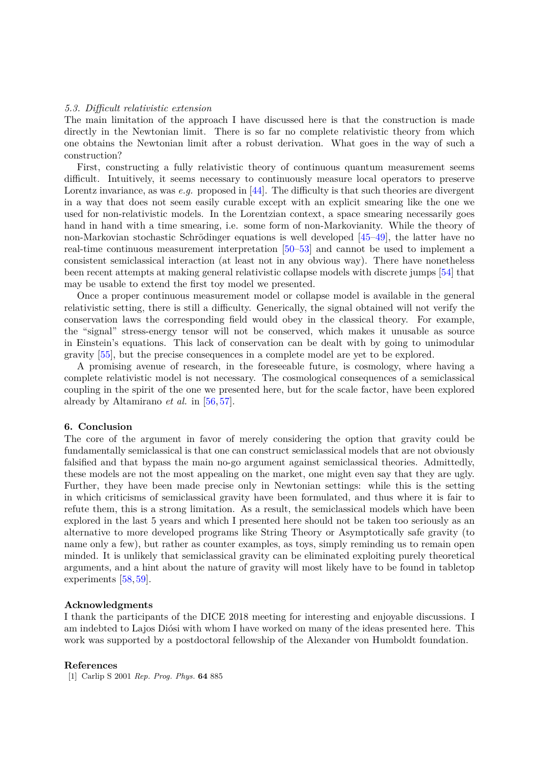## *5.3. Difficult relativistic extension*

The main limitation of the approach I have discussed here is that the construction is made directly in the Newtonian limit. There is so far no complete relativistic theory from which one obtains the Newtonian limit after a robust derivation. What goes in the way of such a construction?

First, constructing a fully relativistic theory of continuous quantum measurement seems difficult. Intuitively, it seems necessary to continuously measure local operators to preserve Lorentz invariance, as was *e.g.* proposed in [\[44\]](#page-15-33). The difficulty is that such theories are divergent in a way that does not seem easily curable except with an explicit smearing like the one we used for non-relativistic models. In the Lorentzian context, a space smearing necessarily goes hand in hand with a time smearing, i.e. some form of non-Markovianity. While the theory of non-Markovian stochastic Schrödinger equations is well developed  $[45-49]$  $[45-49]$ , the latter have no real-time continuous measurement interpretation [\[50–](#page-15-36)[53\]](#page-15-37) and cannot be used to implement a consistent semiclassical interaction (at least not in any obvious way). There have nonetheless been recent attempts at making general relativistic collapse models with discrete jumps [\[54\]](#page-15-38) that may be usable to extend the first toy model we presented.

Once a proper continuous measurement model or collapse model is available in the general relativistic setting, there is still a difficulty. Generically, the signal obtained will not verify the conservation laws the corresponding field would obey in the classical theory. For example, the "signal" stress-energy tensor will not be conserved, which makes it unusable as source in Einstein's equations. This lack of conservation can be dealt with by going to unimodular gravity [\[55\]](#page-15-39), but the precise consequences in a complete model are yet to be explored.

A promising avenue of research, in the foreseeable future, is cosmology, where having a complete relativistic model is not necessary. The cosmological consequences of a semiclassical coupling in the spirit of the one we presented here, but for the scale factor, have been explored already by Altamirano *et al.* in [\[56,](#page-15-40) [57\]](#page-16-0).

#### **6. Conclusion**

The core of the argument in favor of merely considering the option that gravity could be fundamentally semiclassical is that one can construct semiclassical models that are not obviously falsified and that bypass the main no-go argument against semiclassical theories. Admittedly, these models are not the most appealing on the market, one might even say that they are ugly. Further, they have been made precise only in Newtonian settings: while this is the setting in which criticisms of semiclassical gravity have been formulated, and thus where it is fair to refute them, this is a strong limitation. As a result, the semiclassical models which have been explored in the last 5 years and which I presented here should not be taken too seriously as an alternative to more developed programs like String Theory or Asymptotically safe gravity (to name only a few), but rather as counter examples, as toys, simply reminding us to remain open minded. It is unlikely that semiclassical gravity can be eliminated exploiting purely theoretical arguments, and a hint about the nature of gravity will most likely have to be found in tabletop experiments [\[58,](#page-16-1) [59\]](#page-16-2).

## **Acknowledgments**

I thank the participants of the DICE 2018 meeting for interesting and enjoyable discussions. I am indebted to Lajos Diósi with whom I have worked on many of the ideas presented here. This work was supported by a postdoctoral fellowship of the Alexander von Humboldt foundation.

#### **References**

<span id="page-14-0"></span>[1] Carlip S 2001 *Rep. Prog. Phys.* **64** 885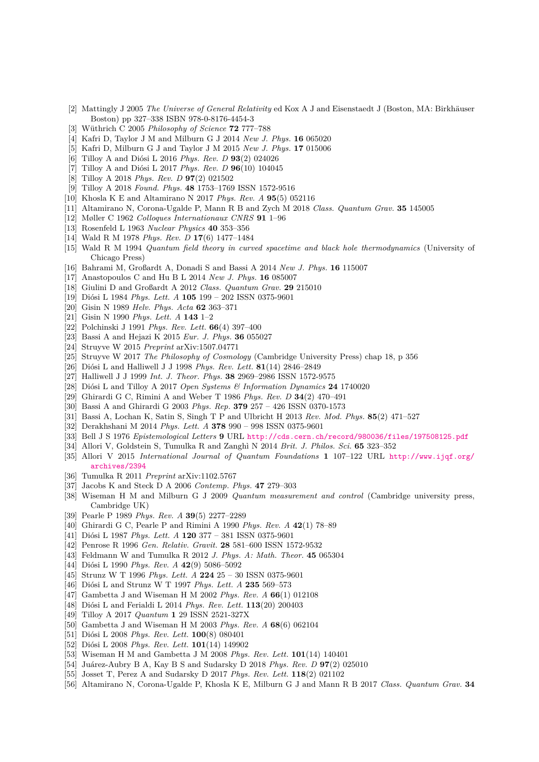- [2] Mattingly J 2005 *The Universe of General Relativity* ed Kox A J and Eisenstaedt J (Boston, MA: Birkhäuser Boston) pp 327–338 ISBN 978-0-8176-4454-3
- <span id="page-15-0"></span>[3] W¨uthrich C 2005 *Philosophy of Science* **72** 777–788
- <span id="page-15-1"></span>[4] Kafri D, Taylor J M and Milburn G J 2014 *New J. Phys.* **16** 065020
- [5] Kafri D, Milburn G J and Taylor J M 2015 *New J. Phys.* **17** 015006
- [6] Tilloy A and Diósi L 2016 *Phys. Rev. D* 93(2) 024026
- <span id="page-15-31"></span>[7] Tilloy A and Diósi L 2017 *Phys. Rev. D* 96(10) 104045
- <span id="page-15-18"></span>[8] Tilloy A 2018 *Phys. Rev. D* **97**(2) 021502
- <span id="page-15-3"></span>[9] Tilloy A 2018 *Found. Phys.* **48** 1753–1769 ISSN 1572-9516
- [10] Khosla K E and Altamirano N 2017 *Phys. Rev. A* **95**(5) 052116
- <span id="page-15-2"></span>[11] Altamirano N, Corona-Ugalde P, Mann R B and Zych M 2018 *Class. Quantum Grav.* **35** 145005
- <span id="page-15-4"></span>[12] Møller C 1962 *Colloques Internationaux CNRS* **91** 1–96
- <span id="page-15-5"></span>[13] Rosenfeld L 1963 *Nuclear Physics* **40** 353–356
- <span id="page-15-6"></span>[14] Wald R M 1978 *Phys. Rev. D* **17**(6) 1477–1484
- <span id="page-15-7"></span>[15] Wald R M 1994 *Quantum field theory in curved spacetime and black hole thermodynamics* (University of Chicago Press)
- <span id="page-15-9"></span>[16] Bahrami M, Großardt A, Donadi S and Bassi A 2014 *New J. Phys.* **16** 115007
- <span id="page-15-13"></span>[17] Anastopoulos C and Hu B L 2014 *New J. Phys.* **16** 085007
- <span id="page-15-8"></span>[18] Giulini D and Großardt A 2012 *Class. Quantum Grav.* **29** 215010
- <span id="page-15-10"></span>[19] Diósi L 1984 *Phys. Lett. A* **105** 199 – 202 ISSN 0375-9601
- <span id="page-15-11"></span>[20] Gisin N 1989 *Helv. Phys. Acta* **62** 363–371
- [21] Gisin N 1990 *Phys. Lett. A* **143** 1–2
- [22] Polchinski J 1991 *Phys. Rev. Lett.* **66**(4) 397–400
- <span id="page-15-12"></span>[23] Bassi A and Hejazi K 2015 *Eur. J. Phys.* **36** 055027
- <span id="page-15-14"></span>[24] Struyve W 2015 *Preprint* arXiv:1507.04771
- <span id="page-15-15"></span>[25] Struyve W 2017 *The Philosophy of Cosmology* (Cambridge University Press) chap 18, p 356
- <span id="page-15-16"></span>[26] Diósi L and Halliwell J J 1998 Phys. Rev. Lett.  $81(14)$  2846-2849
- [27] Halliwell J J 1999 *Int. J. Theor. Phys.* **38** 2969–2986 ISSN 1572-9575
- <span id="page-15-17"></span>[28] Di´osi L and Tilloy A 2017 *Open Systems & Information Dynamics* **24** 1740020
- <span id="page-15-19"></span>[29] Ghirardi G C, Rimini A and Weber T 1986 *Phys. Rev. D* **34**(2) 470–491
- [30] Bassi A and Ghirardi G 2003 *Phys. Rep.* **379** 257 426 ISSN 0370-1573
- <span id="page-15-20"></span>[31] Bassi A, Lochan K, Satin S, Singh T P and Ulbricht H 2013 *Rev. Mod. Phys.* **85**(2) 471–527
- <span id="page-15-21"></span>[32] Derakhshani M 2014 *Phys. Lett. A* **378** 990 – 998 ISSN 0375-9601
- <span id="page-15-22"></span>[33] Bell J S 1976 *Epistemological Letters* **9** URL <http://cds.cern.ch/record/980036/files/197508125.pdf>
- <span id="page-15-23"></span>[34] Allori V, Goldstein S, Tumulka R and Zangh`ı N 2014 *Brit. J. Philos. Sci.* **65** 323–352
- [35] Allori V 2015 *International Journal of Quantum Foundations* **1** 107–122 URL [http://www.ijqf.org/](http://www.ijqf.org/archives/2394) [archives/2394](http://www.ijqf.org/archives/2394)
- <span id="page-15-24"></span>[36] Tumulka R 2011 *Preprint* arXiv:1102.5767
- <span id="page-15-25"></span>[37] Jacobs K and Steck D A 2006 *Contemp. Phys.* **47** 279–303
- <span id="page-15-26"></span>[38] Wiseman H M and Milburn G J 2009 *Quantum measurement and control* (Cambridge university press, Cambridge UK)
- <span id="page-15-27"></span>[39] Pearle P 1989 *Phys. Rev. A* **39**(5) 2277–2289
- <span id="page-15-28"></span>[40] Ghirardi G C, Pearle P and Rimini A 1990 *Phys. Rev. A* **42**(1) 78–89
- <span id="page-15-29"></span>[41] Diósi L 1987 *Phys. Lett. A* **120** 377 – 381 ISSN 0375-9601
- <span id="page-15-30"></span>[42] Penrose R 1996 *Gen. Relativ. Gravit.* **28** 581–600 ISSN 1572-9532
- <span id="page-15-32"></span>[43] Feldmann W and Tumulka R 2012 *J. Phys. A: Math. Theor.* **45** 065304
- <span id="page-15-33"></span>[44] Diósi L 1990 *Phys. Rev. A* 42(9) 5086-5092
- <span id="page-15-34"></span>[45] Strunz W T 1996 *Phys. Lett. A* **224** 25 – 30 ISSN 0375-9601
- [46] Diósi L and Strunz W T 1997 *Phys. Lett. A* 235 569-573
- [47] Gambetta J and Wiseman H M 2002 *Phys. Rev. A* **66**(1) 012108
- [48] Diósi L and Ferialdi L 2014 *Phys. Rev. Lett.* **113**(20) 200403
- <span id="page-15-35"></span>[49] Tilloy A 2017 *Quantum* **1** 29 ISSN 2521-327X
- <span id="page-15-36"></span>[50] Gambetta J and Wiseman H M 2003 *Phys. Rev. A* **68**(6) 062104
- [51] Diósi L 2008 *Phys. Rev. Lett.* **100**(8) 080401
- [52] Diósi L 2008 *Phys. Rev. Lett.* **101**(14) 149902
- <span id="page-15-37"></span>[53] Wiseman H M and Gambetta J M 2008 *Phys. Rev. Lett.* **101**(14) 140401
- <span id="page-15-38"></span>[54] Ju´arez-Aubry B A, Kay B S and Sudarsky D 2018 *Phys. Rev. D* **97**(2) 025010
- <span id="page-15-39"></span>[55] Josset T, Perez A and Sudarsky D 2017 *Phys. Rev. Lett.* **118**(2) 021102
- <span id="page-15-40"></span>[56] Altamirano N, Corona-Ugalde P, Khosla K E, Milburn G J and Mann R B 2017 *Class. Quantum Grav.* **34**